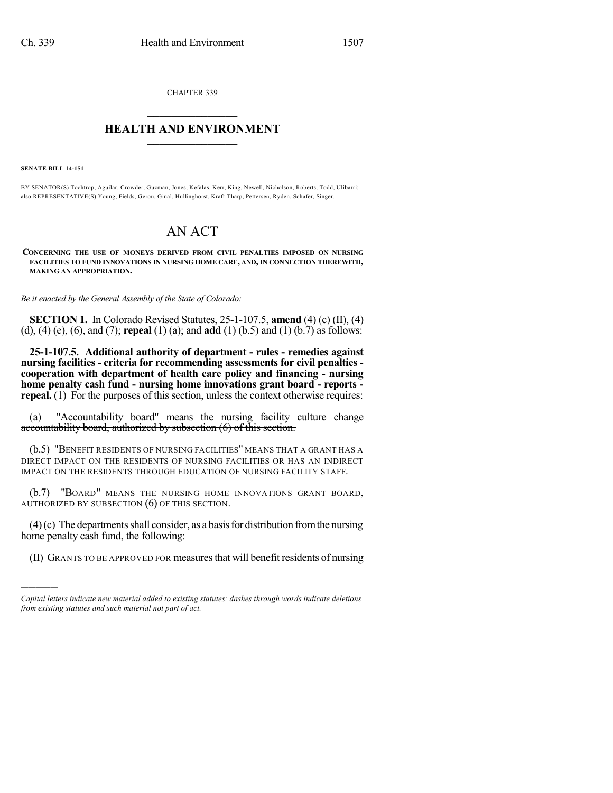CHAPTER 339  $\mathcal{L}_\text{max}$  . The set of the set of the set of the set of the set of the set of the set of the set of the set of the set of the set of the set of the set of the set of the set of the set of the set of the set of the set

## **HEALTH AND ENVIRONMENT**  $\_$

**SENATE BILL 14-151**

)))))

BY SENATOR(S) Tochtrop, Aguilar, Crowder, Guzman, Jones, Kefalas, Kerr, King, Newell, Nicholson, Roberts, Todd, Ulibarri; also REPRESENTATIVE(S) Young, Fields, Gerou, Ginal, Hullinghorst, Kraft-Tharp, Pettersen, Ryden, Schafer, Singer.

## AN ACT

**CONCERNING THE USE OF MONEYS DERIVED FROM CIVIL PENALTIES IMPOSED ON NURSING FACILITIES TO FUND INNOVATIONS IN NURSING HOME CARE, AND, IN CONNECTION THEREWITH, MAKING AN APPROPRIATION.**

*Be it enacted by the General Assembly of the State of Colorado:*

**SECTION 1.** In Colorado Revised Statutes, 25-1-107.5, **amend** (4) (c) (II), (4) (d), (4) (e), (6), and (7); **repeal** (1) (a); and **add** (1) (b.5) and (1) (b.7) as follows:

**25-1-107.5. Additional authority of department - rules - remedies against nursing facilities - criteria for recommending assessments for civil penalties cooperation with department of health care policy and financing - nursing home penalty cash fund - nursing home innovations grant board - reports repeal.** (1) For the purposes of this section, unless the context otherwise requires:

(a) "Accountability board" means the nursing facility culture change accountability board, authorized by subsection (6) of this section.

(b.5) "BENEFIT RESIDENTS OF NURSING FACILITIES" MEANS THAT A GRANT HAS A DIRECT IMPACT ON THE RESIDENTS OF NURSING FACILITIES OR HAS AN INDIRECT IMPACT ON THE RESIDENTS THROUGH EDUCATION OF NURSING FACILITY STAFF.

(b.7) "BOARD" MEANS THE NURSING HOME INNOVATIONS GRANT BOARD, AUTHORIZED BY SUBSECTION (6) OF THIS SECTION.

 $(4)$ (c) The departments shall consider, as a basis for distribution from the nursing home penalty cash fund, the following:

(II) GRANTS TO BE APPROVED FOR measuresthat will benefit residents of nursing

*Capital letters indicate new material added to existing statutes; dashes through words indicate deletions from existing statutes and such material not part of act.*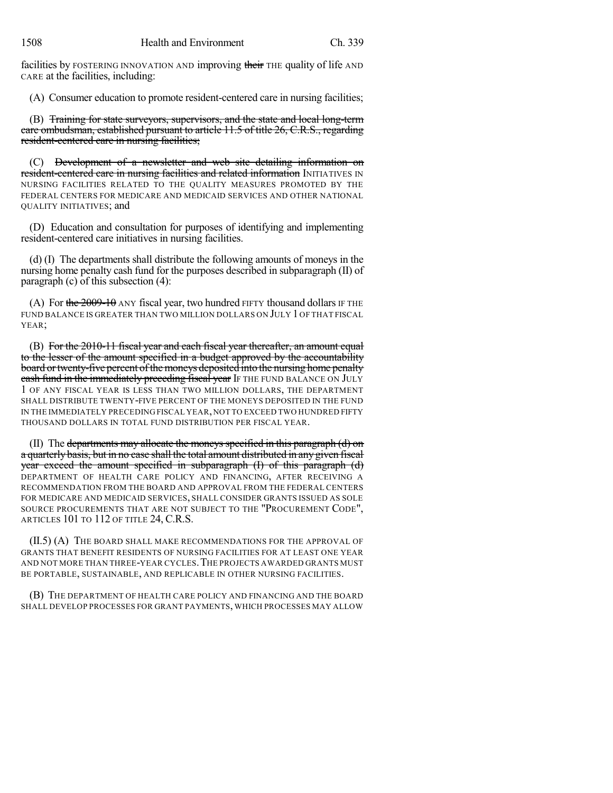facilities by FOSTERING INNOVATION AND improving their THE quality of life AND CARE at the facilities, including:

(A) Consumer education to promote resident-centered care in nursing facilities;

(B) Training for state surveyors, supervisors, and the state and local long-term care ombudsman, established pursuant to article 11.5 of title 26, C.R.S., regarding resident-centered care in nursing facilities;

(C) Development of a newsletter and web site detailing information on resident-centered care in nursing facilities and related information INITIATIVES IN NURSING FACILITIES RELATED TO THE QUALITY MEASURES PROMOTED BY THE FEDERAL CENTERS FOR MEDICARE AND MEDICAID SERVICES AND OTHER NATIONAL QUALITY INITIATIVES; and

(D) Education and consultation for purposes of identifying and implementing resident-centered care initiatives in nursing facilities.

(d) (I) The departments shall distribute the following amounts of moneys in the nursing home penalty cash fund for the purposes described in subparagraph (II) of paragraph (c) of this subsection (4):

(A) For the  $2009-10$  ANY fiscal year, two hundred FIFTY thousand dollars IF THE FUND BALANCE IS GREATER THAN TWO MILLION DOLLARS ON JULY 1 OF THAT FISCAL YEAR;

(B) For the 2010-11 fiscal year and each fiscal year thereafter, an amount equal to the lesser of the amount specified in a budget approved by the accountability board or twenty-five percent of the moneys deposited into the nursing home penalty cash fund in the immediately preceding fiscal year IF THE FUND BALANCE ON JULY 1 OF ANY FISCAL YEAR IS LESS THAN TWO MILLION DOLLARS, THE DEPARTMENT SHALL DISTRIBUTE TWENTY-FIVE PERCENT OF THE MONEYS DEPOSITED IN THE FUND IN THE IMMEDIATELY PRECEDING FISCAL YEAR,NOT TO EXCEED TWO HUNDRED FIFTY THOUSAND DOLLARS IN TOTAL FUND DISTRIBUTION PER FISCAL YEAR.

(II) The departments may allocate the moneys specified in this paragraph (d) on a quarterly basis, but in no case shall the total amount distributed in any given fiscal year exceed the amount specified in subparagraph (I) of this paragraph (d) DEPARTMENT OF HEALTH CARE POLICY AND FINANCING, AFTER RECEIVING A RECOMMENDATION FROM THE BOARD AND APPROVAL FROM THE FEDERAL CENTERS FOR MEDICARE AND MEDICAID SERVICES, SHALL CONSIDER GRANTS ISSUED AS SOLE SOURCE PROCUREMENTS THAT ARE NOT SUBJECT TO THE "PROCUREMENT CODE", ARTICLES 101 TO 112 OF TITLE 24, C.R.S.

(II.5) (A) THE BOARD SHALL MAKE RECOMMENDATIONS FOR THE APPROVAL OF GRANTS THAT BENEFIT RESIDENTS OF NURSING FACILITIES FOR AT LEAST ONE YEAR AND NOT MORE THAN THREE-YEAR CYCLES.THE PROJECTS AWARDED GRANTS MUST BE PORTABLE, SUSTAINABLE, AND REPLICABLE IN OTHER NURSING FACILITIES.

(B) THE DEPARTMENT OF HEALTH CARE POLICY AND FINANCING AND THE BOARD SHALL DEVELOP PROCESSES FOR GRANT PAYMENTS, WHICH PROCESSES MAY ALLOW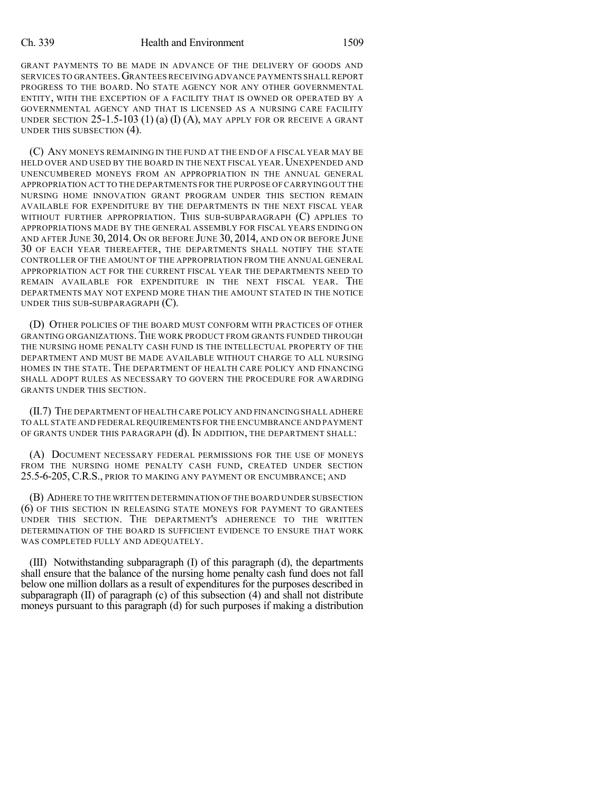GRANT PAYMENTS TO BE MADE IN ADVANCE OF THE DELIVERY OF GOODS AND SERVICES TO GRANTEES.GRANTEES RECEIVING ADVANCE PAYMENTS SHALL REPORT PROGRESS TO THE BOARD. NO STATE AGENCY NOR ANY OTHER GOVERNMENTAL ENTITY, WITH THE EXCEPTION OF A FACILITY THAT IS OWNED OR OPERATED BY A GOVERNMENTAL AGENCY AND THAT IS LICENSED AS A NURSING CARE FACILITY UNDER SECTION  $25$ -1.5-103 (1) (a) (I) (A), may apply for or receive a grant UNDER THIS SUBSECTION (4).

(C) ANY MONEYS REMAINING IN THE FUND AT THE END OF A FISCAL YEAR MAY BE HELD OVER AND USED BY THE BOARD IN THE NEXT FISCAL YEAR. UNEXPENDED AND UNENCUMBERED MONEYS FROM AN APPROPRIATION IN THE ANNUAL GENERAL APPROPRIATION ACT TO THE DEPARTMENTS FOR THE PURPOSE OF CARRYING OUT THE NURSING HOME INNOVATION GRANT PROGRAM UNDER THIS SECTION REMAIN AVAILABLE FOR EXPENDITURE BY THE DEPARTMENTS IN THE NEXT FISCAL YEAR WITHOUT FURTHER APPROPRIATION. THIS SUB-SUBPARAGRAPH (C) APPLIES TO APPROPRIATIONS MADE BY THE GENERAL ASSEMBLY FOR FISCAL YEARS ENDING ON AND AFTER JUNE 30, 2014. ON OR BEFORE JUNE 30, 2014, AND ON OR BEFORE JUNE 30 OF EACH YEAR THEREAFTER, THE DEPARTMENTS SHALL NOTIFY THE STATE CONTROLLER OF THE AMOUNT OF THE APPROPRIATION FROM THE ANNUAL GENERAL APPROPRIATION ACT FOR THE CURRENT FISCAL YEAR THE DEPARTMENTS NEED TO REMAIN AVAILABLE FOR EXPENDITURE IN THE NEXT FISCAL YEAR. THE DEPARTMENTS MAY NOT EXPEND MORE THAN THE AMOUNT STATED IN THE NOTICE UNDER THIS SUB-SUBPARAGRAPH (C).

(D) OTHER POLICIES OF THE BOARD MUST CONFORM WITH PRACTICES OF OTHER GRANTING ORGANIZATIONS. THE WORK PRODUCT FROM GRANTS FUNDED THROUGH THE NURSING HOME PENALTY CASH FUND IS THE INTELLECTUAL PROPERTY OF THE DEPARTMENT AND MUST BE MADE AVAILABLE WITHOUT CHARGE TO ALL NURSING HOMES IN THE STATE. THE DEPARTMENT OF HEALTH CARE POLICY AND FINANCING SHALL ADOPT RULES AS NECESSARY TO GOVERN THE PROCEDURE FOR AWARDING GRANTS UNDER THIS SECTION.

(II.7) THE DEPARTMENT OF HEALTH CARE POLICY AND FINANCING SHALL ADHERE TO ALL STATE AND FEDERAL REQUIREMENTS FOR THE ENCUMBRANCE AND PAYMENT OF GRANTS UNDER THIS PARAGRAPH (d). IN ADDITION, THE DEPARTMENT SHALL:

(A) DOCUMENT NECESSARY FEDERAL PERMISSIONS FOR THE USE OF MONEYS FROM THE NURSING HOME PENALTY CASH FUND, CREATED UNDER SECTION 25.5-6-205, C.R.S., PRIOR TO MAKING ANY PAYMENT OR ENCUMBRANCE; AND

(B) ADHERE TO THE WRITTEN DETERMINATION OF THE BOARD UNDER SUBSECTION (6) OF THIS SECTION IN RELEASING STATE MONEYS FOR PAYMENT TO GRANTEES UNDER THIS SECTION. THE DEPARTMENT'S ADHERENCE TO THE WRITTEN DETERMINATION OF THE BOARD IS SUFFICIENT EVIDENCE TO ENSURE THAT WORK WAS COMPLETED FULLY AND ADEQUATELY.

(III) Notwithstanding subparagraph (I) of this paragraph (d), the departments shall ensure that the balance of the nursing home penalty cash fund does not fall below one million dollars as a result of expenditures for the purposes described in subparagraph (II) of paragraph (c) of this subsection (4) and shall not distribute moneys pursuant to this paragraph (d) for such purposes if making a distribution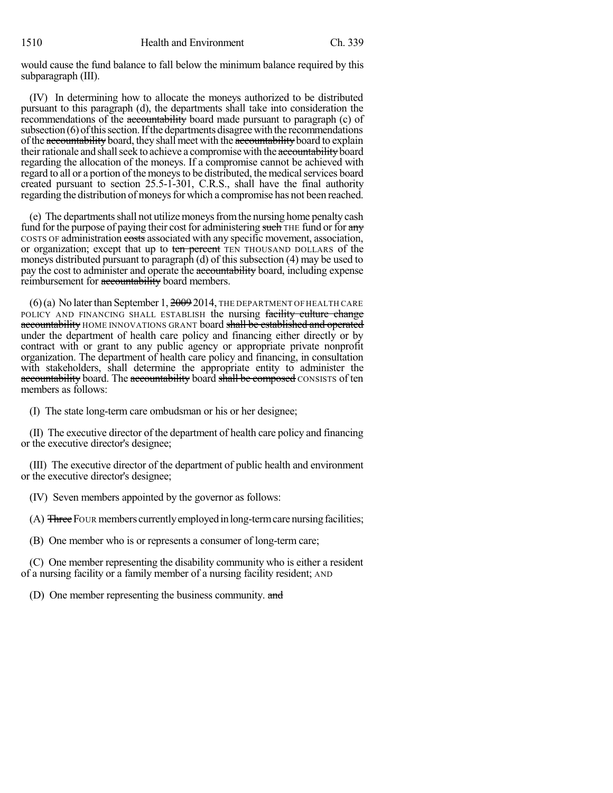would cause the fund balance to fall below the minimum balance required by this subparagraph (III).

(IV) In determining how to allocate the moneys authorized to be distributed pursuant to this paragraph (d), the departments shall take into consideration the recommendations of the accountability board made pursuant to paragraph (c) of subsection $(6)$  of this section. If the departments disagree with the recommendations of the accountability board, they shall meet with the accountability board to explain their rationale and shall seek to achieve a compromise with the accountability board regarding the allocation of the moneys. If a compromise cannot be achieved with regard to all or a portion of the moneys to be distributed, the medical services board created pursuant to section 25.5-1-301, C.R.S., shall have the final authority regarding the distribution of moneys for which a compromise has not been reached.

(e) The departmentsshall not utilizemoneysfromthe nursing home penalty cash fund for the purpose of paying their cost for administering such THE fund or for any COSTS OF administration costs associated with any specific movement, association, or organization; except that up to ten percent TEN THOUSAND DOLLARS of the moneys distributed pursuant to paragraph (d) of this subsection (4) may be used to pay the cost to administer and operate the accountability board, including expense reimbursement for accountability board members.

 $(6)(a)$  No later than September 1,  $20092014$ , THE DEPARTMENT OF HEALTH CARE POLICY AND FINANCING SHALL ESTABLISH the nursing facility culture change accountability HOME INNOVATIONS GRANT board shall be established and operated under the department of health care policy and financing either directly or by contract with or grant to any public agency or appropriate private nonprofit organization. The department of health care policy and financing, in consultation with stakeholders, shall determine the appropriate entity to administer the accountability board. The accountability board shall be composed CONSISTS of ten members as follows:

(I) The state long-term care ombudsman or his or her designee;

(II) The executive director of the department of health care policy and financing or the executive director's designee;

(III) The executive director of the department of public health and environment or the executive director's designee;

(IV) Seven members appointed by the governor as follows:

(A) Three FOUR members currently employed in long-term care nursing facilities;

(B) One member who is or represents a consumer of long-term care;

(C) One member representing the disability community who is either a resident of a nursing facility or a family member of a nursing facility resident; AND

(D) One member representing the business community. and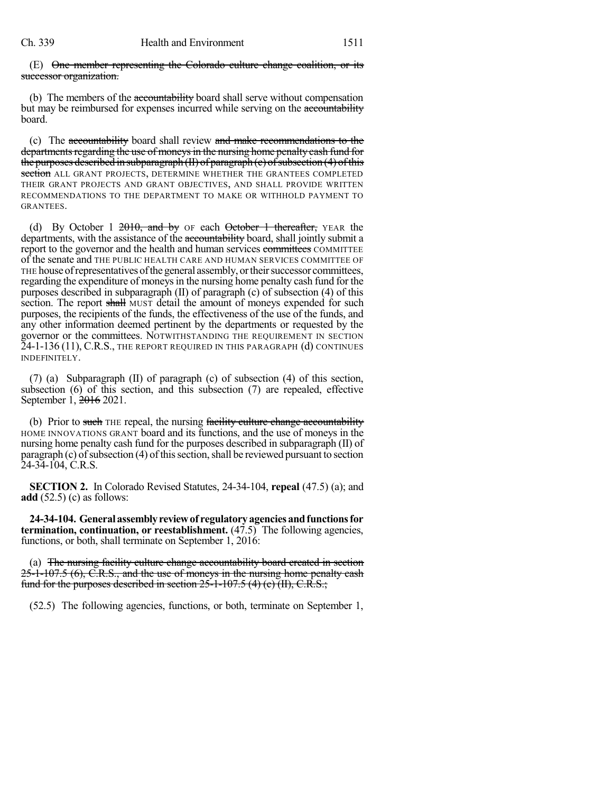(E) One member representing the Colorado culture change coalition, or its successor organization.

(b) The members of the accountability board shall serve without compensation but may be reimbursed for expenses incurred while serving on the accountability board.

(c) The accountability board shall review and make recommendations to the departments regarding the use of moneys in the nursing home penalty cash fund for the purposes described in subparagraph  $(H)$  of paragraph  $(c)$  of subsection  $(4)$  of this section ALL GRANT PROJECTS, DETERMINE WHETHER THE GRANTEES COMPLETED THEIR GRANT PROJECTS AND GRANT OBJECTIVES, AND SHALL PROVIDE WRITTEN RECOMMENDATIONS TO THE DEPARTMENT TO MAKE OR WITHHOLD PAYMENT TO GRANTEES.

(d) By October 1  $2010$ , and by OF each October 1 thereafter, YEAR the departments, with the assistance of the accountability board, shall jointly submit a report to the governor and the health and human services committees COMMITTEE of the senate and THE PUBLIC HEALTH CARE AND HUMAN SERVICES COMMITTEE OF THE house of representatives of the general assembly, or their successor committees, regarding the expenditure of moneysin the nursing home penalty cash fund for the purposes described in subparagraph (II) of paragraph (c) of subsection (4) of this section. The report shall MUST detail the amount of moneys expended for such purposes, the recipients of the funds, the effectiveness of the use of the funds, and any other information deemed pertinent by the departments or requested by the governor or the committees. NOTWITHSTANDING THE REQUIREMENT IN SECTION 24-1-136 (11), C.R.S., THE REPORT REQUIRED IN THIS PARAGRAPH (d) CONTINUES INDEFINITELY.

(7) (a) Subparagraph (II) of paragraph (c) of subsection (4) of this section, subsection (6) of this section, and this subsection (7) are repealed, effective September 1, 2016 2021.

(b) Prior to such THE repeal, the nursing facility culture change accountability HOME INNOVATIONS GRANT board and its functions, and the use of moneys in the nursing home penalty cash fund for the purposes described in subparagraph (II) of paragraph  $(c)$  of subsection  $(4)$  of this section, shall be reviewed pursuant to section 24-34-104, C.R.S.

**SECTION 2.** In Colorado Revised Statutes, 24-34-104, **repeal** (47.5) (a); and **add** (52.5) (c) as follows:

**24-34-104. Generalassemblyreviewof regulatoryagenciesandfunctionsfor termination, continuation, or reestablishment.** (47.5) The following agencies, functions, or both, shall terminate on September 1, 2016:

(a) The nursing facility culture change accountability board created in section  $25$ -1-107.5 (6), C.R.S., and the use of moneys in the nursing home penalty eash fund for the purposes described in section  $25$ -1-107.5 (4) (e) (II), C.R.S.;

(52.5) The following agencies, functions, or both, terminate on September 1,